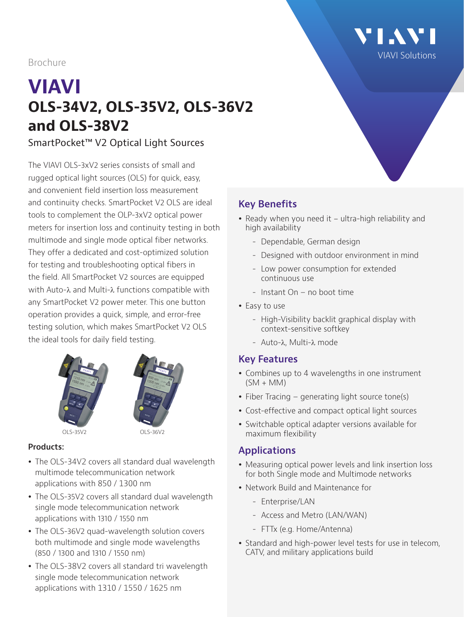Brochure

# **VIAVI OLS-34V2, OLS-35V2, OLS-36V2 and OLS-38V2**

SmartPocket™ V2 Optical Light Sources

The VIAVI OLS-3xV2 series consists of small and rugged optical light sources (OLS) for quick, easy, and convenient field insertion loss measurement and continuity checks. SmartPocket V2 OLS are ideal tools to complement the OLP-3xV2 optical power meters for insertion loss and continuity testing in both multimode and single mode optical fiber networks. They offer a dedicated and cost-optimized solution for testing and troubleshooting optical fibers in the field. All SmartPocket V2 sources are equipped with Auto-λ and Multi-λ functions compatible with any SmartPocket V2 power meter. This one button operation provides a quick, simple, and error-free testing solution, which makes SmartPocket V2 OLS the ideal tools for daily field testing.





#### **Products:**

- The OLS-34V2 covers all standard dual wavelength multimode telecommunication network applications with 850 / 1300 nm
- The OLS-35V2 covers all standard dual wavelength single mode telecommunication network applications with 1310 / 1550 nm
- The OLS-36V2 quad-wavelength solution covers both multimode and single mode wavelengths (850 / 1300 and 1310 / 1550 nm)
- The OLS-38V2 covers all standard tri wavelength single mode telecommunication network applications with 1310 / 1550 / 1625 nm

# **Key Benefits**

- Ready when you need it ultra-high reliability and high availability
	- Dependable, German design
	- Designed with outdoor environment in mind
	- Low power consumption for extended continuous use
	- Instant On no boot time
- Easy to use
	- High-Visibility backlit graphical display with context-sensitive softkey
	- Auto-λ, Multi-λ mode

#### **Key Features**

- Combines up to 4 wavelengths in one instrument  $(SM + MM)$
- Fiber Tracing generating light source tone(s)
- Cost-effective and compact optical light sources
- Switchable optical adapter versions available for maximum flexibility

#### **Applications**

- Measuring optical power levels and link insertion loss for both Single mode and Multimode networks
- Network Build and Maintenance for
	- Enterprise/LAN
	- Access and Metro (LAN/WAN)
	- FTTx (e.g. Home/Antenna)
- Standard and high-power level tests for use in telecom, CATV, and military applications build

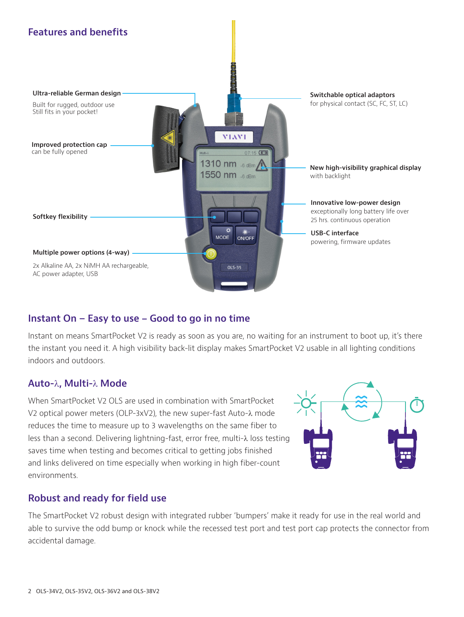

## **Instant On – Easy to use - Good to go in no time**

Instant on means SmartPocket V2 is ready as soon as you are, no waiting for an instrument to boot up, it's there the instant you need it. A high visibility back-lit display makes SmartPocket V2 usable in all lighting conditions indoors and outdoors.

#### **Auto-**λ**, Multi-**λ **Mode**

When SmartPocket V2 OLS are used in combination with SmartPocket V2 optical power meters (OLP-3xV2), the new super-fast Auto-λ mode reduces the time to measure up to 3 wavelengths on the same fiber to less than a second. Delivering lightning-fast, error free, multi-λ loss testing saves time when testing and becomes critical to getting jobs finished and links delivered on time especially when working in high fiber-count environments.



#### **Robust and ready for field use**

The SmartPocket V2 robust design with integrated rubber 'bumpers' make it ready for use in the real world and able to survive the odd bump or knock while the recessed test port and test port cap protects the connector from accidental damage.